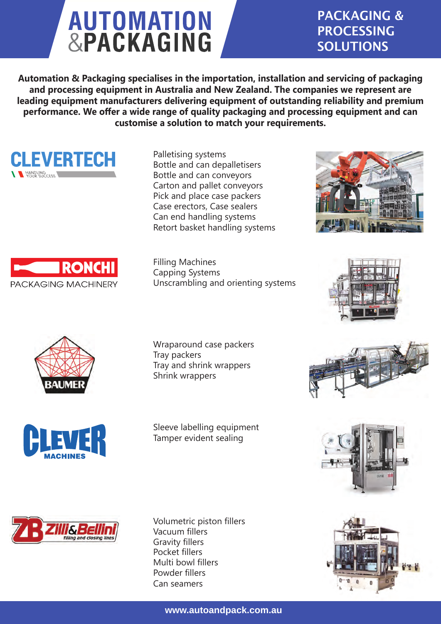## **AUTOMATION**<br>&PACKAGING

## PACKAGING & PROCESSING SOLUTIONS

**Automation & Packaging specialises in the importation, installation and servicing of packaging and processing equipment in Australia and New Zealand. The companies we represent are leading equipment manufacturers delivering equipment of outstanding reliability and premium performance. We offer a wide range of quality packaging and processing equipment and can customise a solution to match your requirements.**



Palletising systems Bottle and can depalletisers Bottle and can conveyors Carton and pallet conveyors Pick and place case packers Case erectors, Case sealers Can end handling systems Retort basket handling systems

Filling Machines Capping Systems Unscrambling and orienting systems







PACKAGING MACHINERY

**RONC** 



Wraparound case packers Tray packers Tray and shrink wrappers Shrink wrappers

Sleeve labelling equipment Tamper evident sealing



Volumetric piston fillers Vacuum fillers Gravity fillers Pocket fillers Multi bowl fillers Powder fillers Can seamers







**www.autoandpack.com.au**